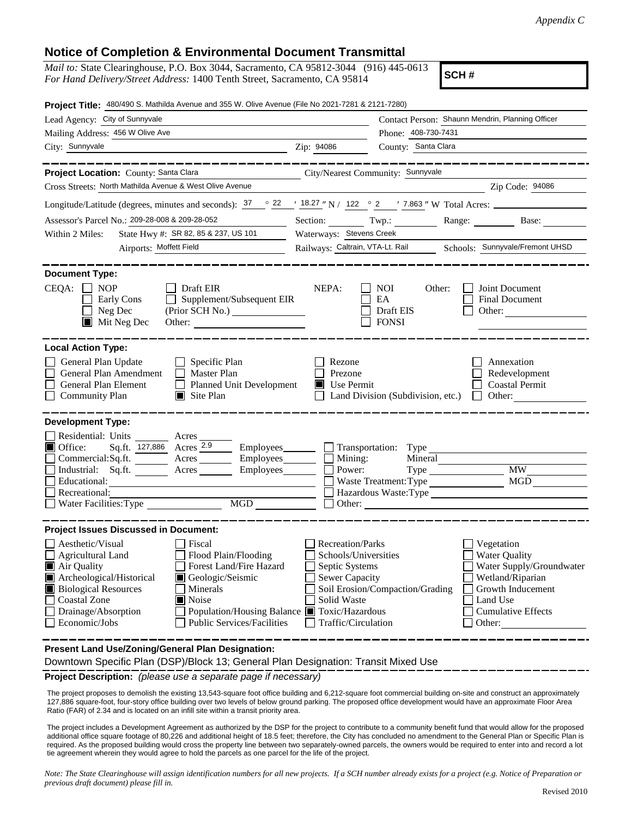## **Notice of Completion & Environmental Document Transmittal**

*Mail to:* State Clearinghouse, P.O. Box 3044, Sacramento, CA 95812-3044 (916) 445-0613 *For Hand Delivery/Street Address:* 1400 Tenth Street, Sacramento, CA 95814

**SCH #**

| Project Title: 480/490 S. Mathilda Avenue and 355 W. Olive Avenue (File No 2021-7281 & 2121-7280)                                                                                                                                                                                                                                                                                                                              |                                                                                                                           |                                                  |                                                                                                                                                            |  |  |  |
|--------------------------------------------------------------------------------------------------------------------------------------------------------------------------------------------------------------------------------------------------------------------------------------------------------------------------------------------------------------------------------------------------------------------------------|---------------------------------------------------------------------------------------------------------------------------|--------------------------------------------------|------------------------------------------------------------------------------------------------------------------------------------------------------------|--|--|--|
| Lead Agency: City of Sunnyvale                                                                                                                                                                                                                                                                                                                                                                                                 | Contact Person: Shaunn Mendrin, Planning Officer                                                                          |                                                  |                                                                                                                                                            |  |  |  |
| Mailing Address: 456 W Olive Ave                                                                                                                                                                                                                                                                                                                                                                                               |                                                                                                                           |                                                  | Phone: 408-730-7431                                                                                                                                        |  |  |  |
| City: Sunnyvale                                                                                                                                                                                                                                                                                                                                                                                                                | Zip: 94086                                                                                                                | County: Santa Clara                              |                                                                                                                                                            |  |  |  |
| __________                                                                                                                                                                                                                                                                                                                                                                                                                     |                                                                                                                           |                                                  | ______________                                                                                                                                             |  |  |  |
| Project Location: County: Santa Clara                                                                                                                                                                                                                                                                                                                                                                                          |                                                                                                                           | City/Nearest Community: Sunnyvale                |                                                                                                                                                            |  |  |  |
| Cross Streets: North Mathilda Avenue & West Olive Avenue                                                                                                                                                                                                                                                                                                                                                                       |                                                                                                                           |                                                  | Zip Code: 94086                                                                                                                                            |  |  |  |
| Longitude/Latitude (degrees, minutes and seconds): $\frac{37}{22}$ $\frac{22}{18.27}$ N / 122 ° 2 ′ 7.863 ″ W Total Acres:                                                                                                                                                                                                                                                                                                     |                                                                                                                           |                                                  |                                                                                                                                                            |  |  |  |
| Assessor's Parcel No.: 209-28-008 & 209-28-052                                                                                                                                                                                                                                                                                                                                                                                 | Section: $Twp$ .:                                                                                                         |                                                  | Range: Base:                                                                                                                                               |  |  |  |
| State Hwy #: SR 82, 85 & 237, US 101<br>Within 2 Miles:                                                                                                                                                                                                                                                                                                                                                                        | Waterways: Stevens Creek                                                                                                  |                                                  |                                                                                                                                                            |  |  |  |
| Airports: Moffett Field                                                                                                                                                                                                                                                                                                                                                                                                        | Railways: Caltrain, VTA-Lt. Rail Schools: Sunnyvale/Fremont UHSD                                                          |                                                  |                                                                                                                                                            |  |  |  |
| <b>Document Type:</b><br>$CEQA: \Box NOP$<br>$\Box$ Draft EIR<br>Supplement/Subsequent EIR<br>Early Cons<br>$\Box$<br>Neg Dec<br>$\blacksquare$ Mit Neg Dec<br>Other:                                                                                                                                                                                                                                                          | NEPA:                                                                                                                     | NOI<br>Other:<br>EA<br>Draft EIS<br><b>FONSI</b> | Joint Document<br>Final Document<br>Other: $\qquad \qquad$                                                                                                 |  |  |  |
| <b>Local Action Type:</b><br>General Plan Update<br>$\Box$ Specific Plan<br>General Plan Amendment<br>$\Box$ Master Plan<br>General Plan Element<br>Planned Unit Development<br><b>Community Plan</b><br>$\Box$ Site Plan                                                                                                                                                                                                      | Rezone<br>Prezone<br>Use Permit                                                                                           | Land Division (Subdivision, etc.)                | Annexation<br>Redevelopment<br><b>Coastal Permit</b><br>Other:<br>$\Box$                                                                                   |  |  |  |
| <b>Development Type:</b><br>Residential: Units ________ Acres_<br>Sq.ft. 127,886 Acres 2.9<br>■ Office:<br>Commercial:Sq.ft. ________ Acres __________ Employees _________ $\Box$<br>Industrial: Sq.ft.<br>$A$ cres $\_\_\_\_\_\_\_\_\$<br>Employees_______<br>Educational:<br>Recreational:<br>MGD<br>Water Facilities: Type                                                                                                  | $\Box$ Employees $\Box$ Transportation: Type<br>Mining:<br>Power:                                                         | Mineral<br>Waste Treatment: Type                 | <b>MW</b><br><b>MGD</b><br>Hazardous Waste: Type<br>$\Box$ Other: $\Box$                                                                                   |  |  |  |
| <b>Project Issues Discussed in Document:</b><br>Aesthetic/Visual<br>Fiscal<br>Flood Plain/Flooding<br><b>Agricultural Land</b><br>Forest Land/Fire Hazard<br>Air Quality<br>Archeological/Historical<br>Geologic/Seismic<br>Ш<br><b>Biological Resources</b><br>Minerals<br>Noise<br><b>Coastal Zone</b><br>Drainage/Absorption<br>Population/Housing Balance ■ Toxic/Hazardous<br>Economic/Jobs<br>Public Services/Facilities | Recreation/Parks<br>Schools/Universities<br>Septic Systems<br><b>Sewer Capacity</b><br>Solid Waste<br>Traffic/Circulation | Soil Erosion/Compaction/Grading                  | Vegetation<br><b>Water Quality</b><br>Water Supply/Groundwater<br>Wetland/Riparian<br>Growth Inducement<br>Land Use<br><b>Cumulative Effects</b><br>Other: |  |  |  |
| Present Land Use/Zoning/General Plan Designation:                                                                                                                                                                                                                                                                                                                                                                              |                                                                                                                           |                                                  |                                                                                                                                                            |  |  |  |

Downtown Specific Plan (DSP)/Block 13; General Plan Designation: Transit Mixed Use

**Project Description:** *(please use a separate page if necessary)*

 The project proposes to demolish the existing 13,543-square foot office building and 6,212-square foot commercial building on-site and construct an approximately 127,886 square-foot, four-story office building over two levels of below ground parking. The proposed office development would have an approximate Floor Area Ratio (FAR) of 2.34 and is located on an infill site within a transit priority area.

The project includes a Development Agreement as authorized by the DSP for the project to contribute to a community benefit fund that would allow for the proposed additional office square footage of 80,226 and additional height of 18.5 feet; therefore, the City has concluded no amendment to the General Plan or Specific Plan is required. As the proposed building would cross the property line between two separately-owned parcels, the owners would be required to enter into and record a lot tie agreement wherein they would agree to hold the parcels as one parcel for the life of the project.

*Note: The State Clearinghouse will assign identification numbers for all new projects. If a SCH number already exists for a project (e.g. Notice of Preparation or previous draft document) please fill in.*